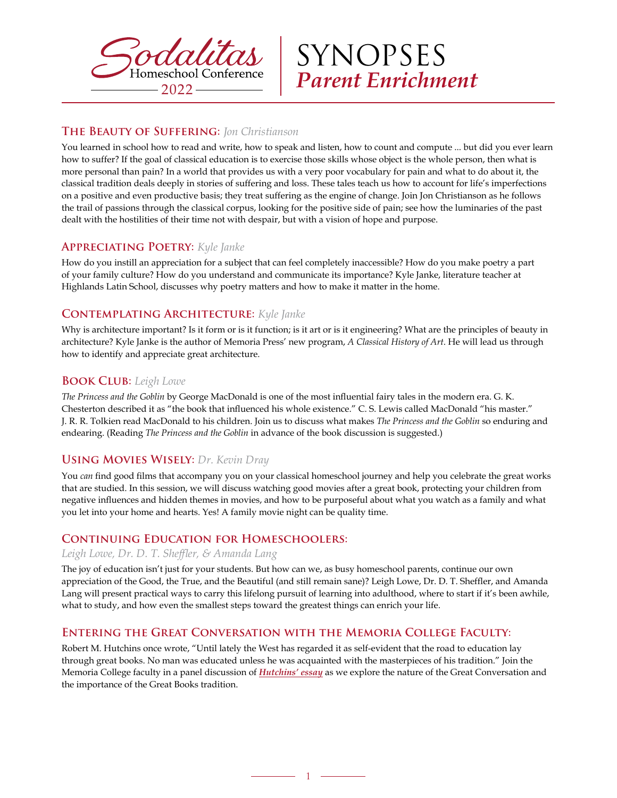

SYNOPSES *Parent Enrichment*

#### **The Beauty of Suffering:** *Jon Christianson*

You learned in school how to read and write, how to speak and listen, how to count and compute ... but did you ever learn how to suffer? If the goal of classical education is to exercise those skills whose object is the whole person, then what is more personal than pain? In a world that provides us with a very poor vocabulary for pain and what to do about it, the classical tradition deals deeply in stories of suffering and loss. These tales teach us how to account for life's imperfections on a positive and even productive basis; they treat suffering as the engine of change. Join Jon Christianson as he follows the trail of passions through the classical corpus, looking for the positive side of pain; see how the luminaries of the past dealt with the hostilities of their time not with despair, but with a vision of hope and purpose.

#### **Appreciating Poetry:** *Kyle Janke*

How do you instill an appreciation for a subject that can feel completely inaccessible? How do you make poetry a part of your family culture? How do you understand and communicate its importance? Kyle Janke, literature teacher at Highlands Latin School, discusses why poetry matters and how to make it matter in the home.

# **Contemplating Architecture:** *Kyle Janke*

Why is architecture important? Is it form or is it function; is it art or is it engineering? What are the principles of beauty in architecture? Kyle Janke is the author of Memoria Press' new program, *A Classical History of Art*. He will lead us through how to identify and appreciate great architecture.

#### **Book Club:** *Leigh Lowe*

*The Princess and the Goblin* by George MacDonald is one of the most influential fairy tales in the modern era. G. K. Chesterton described it as "the book that influenced his whole existence." C. S. Lewis called MacDonald "his master." J. R. R. Tolkien read MacDonald to his children. Join us to discuss what makes *The Princess and the Goblin* so enduring and endearing. (Reading *The Princess and the Goblin* in advance of the book discussion is suggested.)

# **Using Movies Wisely:** *Dr. Kevin Dray*

You *can* find good films that accompany you on your classical homeschool journey and help you celebrate the great works that are studied. In this session, we will discuss watching good movies after a great book, protecting your children from negative influences and hidden themes in movies, and how to be purposeful about what you watch as a family and what you let into your home and hearts. Yes! A family movie night can be quality time.

#### **Continuing Education for Homeschoolers:**

#### *Leigh Lowe, Dr. D. T. Sheffler, & Amanda Lang*

The joy of education isn't just for your students. But how can we, as busy homeschool parents, continue our own appreciation of the Good, the True, and the Beautiful (and still remain sane)? Leigh Lowe, Dr. D. T. Sheffler, and Amanda Lang will present practical ways to carry this lifelong pursuit of learning into adulthood, where to start if it's been awhile, what to study, and how even the smallest steps toward the greatest things can enrich your life.

#### **Entering the Great Conversation with the Memoria College Faculty:**

Robert M. Hutchins once wrote, "Until lately the West has regarded it as self-evident that the road to education lay through great books. No man was educated unless he was acquainted with the masterpieces of his tradition." Join the Memoria College faculty in a panel discussion of *[Hutchins' essay](https://www.memoriapress.com/wp-content/uploads/2022/05/The_Great_Conversation.pdf)* as we explore the nature of the Great Conversation and the importance of the Great Books tradition.

1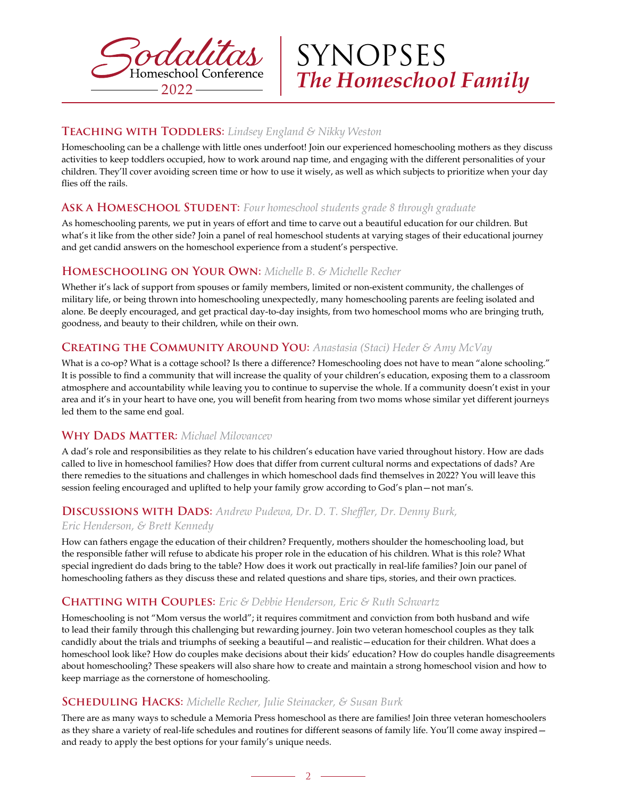

SYNOPSES *The Homeschool Family*

# **Teaching with Toddlers:** *Lindsey England & Nikky Weston*

Homeschooling can be a challenge with little ones underfoot! Join our experienced homeschooling mothers as they discuss activities to keep toddlers occupied, how to work around nap time, and engaging with the different personalities of your children. They'll cover avoiding screen time or how to use it wisely, as well as which subjects to prioritize when your day flies off the rails.

# **Ask a Homeschool Student:** *Four homeschool students grade 8 through graduate*

As homeschooling parents, we put in years of effort and time to carve out a beautiful education for our children. But what's it like from the other side? Join a panel of real homeschool students at varying stages of their educational journey and get candid answers on the homeschool experience from a student's perspective.

#### **Homeschooling on Your Own:** *Michelle B. & Michelle Recher*

Whether it's lack of support from spouses or family members, limited or non-existent community, the challenges of military life, or being thrown into homeschooling unexpectedly, many homeschooling parents are feeling isolated and alone. Be deeply encouraged, and get practical day-to-day insights, from two homeschool moms who are bringing truth, goodness, and beauty to their children, while on their own.

# **Creating the Community Around You:** *Anastasia (Staci) Heder & Amy McVay*

What is a co-op? What is a cottage school? Is there a difference? Homeschooling does not have to mean "alone schooling." It is possible to find a community that will increase the quality of your children's education, exposing them to a classroom atmosphere and accountability while leaving you to continue to supervise the whole. If a community doesn't exist in your area and it's in your heart to have one, you will benefit from hearing from two moms whose similar yet different journeys led them to the same end goal.

#### **WHY DADS MATTER:** Michael Milovancev

A dad's role and responsibilities as they relate to his children's education have varied throughout history. How are dads called to live in homeschool families? How does that differ from current cultural norms and expectations of dads? Are there remedies to the situations and challenges in which homeschool dads find themselves in 2022? You will leave this session feeling encouraged and uplifted to help your family grow according to God's plan—not man's.

# **Discussions with Dads:** *Andrew Pudewa, Dr. D. T. Sheffler, Dr. Denny Burk,*

#### *Eric Henderson, & Brett Kennedy*

How can fathers engage the education of their children? Frequently, mothers shoulder the homeschooling load, but the responsible father will refuse to abdicate his proper role in the education of his children. What is this role? What special ingredient do dads bring to the table? How does it work out practically in real-life families? Join our panel of homeschooling fathers as they discuss these and related questions and share tips, stories, and their own practices.

# **Chatting with Couples:** *Eric & Debbie Henderson, Eric & Ruth Schwartz*

Homeschooling is not "Mom versus the world"; it requires commitment and conviction from both husband and wife to lead their family through this challenging but rewarding journey. Join two veteran homeschool couples as they talk candidly about the trials and triumphs of seeking a beautiful—and realistic—education for their children. What does a homeschool look like? How do couples make decisions about their kids' education? How do couples handle disagreements about homeschooling? These speakers will also share how to create and maintain a strong homeschool vision and how to keep marriage as the cornerstone of homeschooling.

#### **Scheduling Hacks:** *Michelle Recher, Julie Steinacker, & Susan Burk*

There are as many ways to schedule a Memoria Press homeschool as there are families! Join three veteran homeschoolers as they share a variety of real-life schedules and routines for different seasons of family life. You'll come away inspired and ready to apply the best options for your family's unique needs.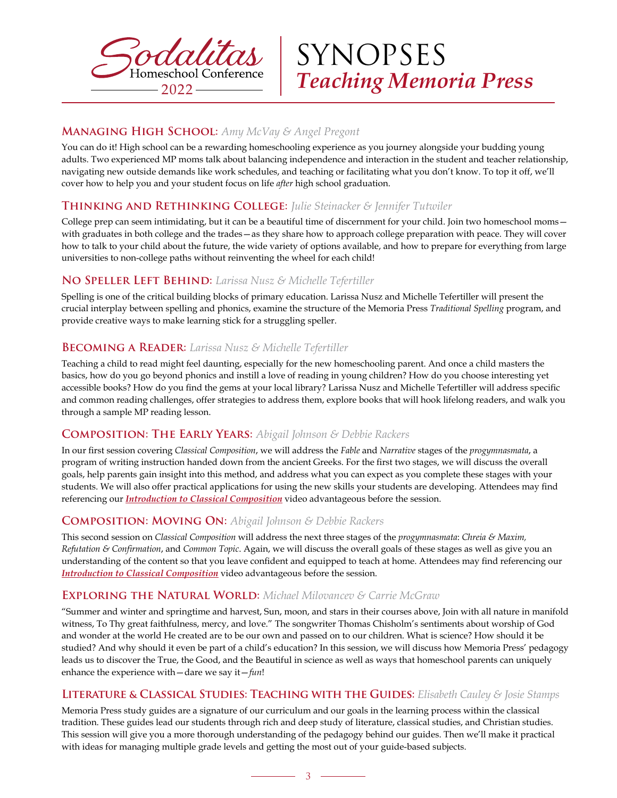

SYNOPSES *Teaching Memoria Press*

# **Managing High School:** *Amy McVay & Angel Pregont*

You can do it! High school can be a rewarding homeschooling experience as you journey alongside your budding young adults. Two experienced MP moms talk about balancing independence and interaction in the student and teacher relationship, navigating new outside demands like work schedules, and teaching or facilitating what you don't know. To top it off, we'll cover how to help you and your student focus on life *after* high school graduation.

# **Thinking and Rethinking College:** *Julie Steinacker & Jennifer Tutwiler*

College prep can seem intimidating, but it can be a beautiful time of discernment for your child. Join two homeschool momswith graduates in both college and the trades—as they share how to approach college preparation with peace. They will cover how to talk to your child about the future, the wide variety of options available, and how to prepare for everything from large universities to non-college paths without reinventing the wheel for each child!

#### **No Speller Left Behind:** *Larissa Nusz & Michelle Tefertiller*

Spelling is one of the critical building blocks of primary education. Larissa Nusz and Michelle Tefertiller will present the crucial interplay between spelling and phonics, examine the structure of the Memoria Press *Traditional Spelling* program, and provide creative ways to make learning stick for a struggling speller.

# **Becoming a Reader:** *Larissa Nusz & Michelle Tefertiller*

Teaching a child to read might feel daunting, especially for the new homeschooling parent. And once a child masters the basics, how do you go beyond phonics and instill a love of reading in young children? How do you choose interesting yet accessible books? How do you find the gems at your local library? Larissa Nusz and Michelle Tefertiller will address specific and common reading challenges, offer strategies to address them, explore books that will hook lifelong readers, and walk you through a sample MP reading lesson.

# **Composition: The Early Years:** *Abigail Johnson & Debbie Rackers*

In our first session covering *Classical Composition*, we will address the *Fable* and *Narrative* stages of the *progymnasmata*, a program of writing instruction handed down from the ancient Greeks. For the first two stages, we will discuss the overall goals, help parents gain insight into this method, and address what you can expect as you complete these stages with your students. We will also offer practical applications for using the new skills your students are developing. Attendees may find referencing our *[Introduction to Classical Composition](https://www.youtube.com/watch?v=F5BXCE8wFv0)* video advantageous before the session.

# **Composition: Moving On:** *Abigail Johnson & Debbie Rackers*

This second session on *Classical Composition* will address the next three stages of the *progymnasmata*: *Chreia & Maxim, Refutation & Confirmation*, and *Common Topic*. Again, we will discuss the overall goals of these stages as well as give you an understanding of the content so that you leave confident and equipped to teach at home. Attendees may find referencing our *[Introduction to Classical Composition](https://www.youtube.com/watch?v=F5BXCE8wFv0)* video advantageous before the session.

# **Exploring the Natural World:** *Michael Milovancev & Carrie McGraw*

"Summer and winter and springtime and harvest, Sun, moon, and stars in their courses above, Join with all nature in manifold witness, To Thy great faithfulness, mercy, and love." The songwriter Thomas Chisholm's sentiments about worship of God and wonder at the world He created are to be our own and passed on to our children. What is science? How should it be studied? And why should it even be part of a child's education? In this session, we will discuss how Memoria Press' pedagogy leads us to discover the True, the Good, and the Beautiful in science as well as ways that homeschool parents can uniquely enhance the experience with—dare we say it—*fun*!

#### **Literature & Classical Studies: Teaching with the Guides:** *Elisabeth Cauley & Josie Stamps*

Memoria Press study guides are a signature of our curriculum and our goals in the learning process within the classical tradition. These guides lead our students through rich and deep study of literature, classical studies, and Christian studies. This session will give you a more thorough understanding of the pedagogy behind our guides. Then we'll make it practical with ideas for managing multiple grade levels and getting the most out of your guide-based subjects.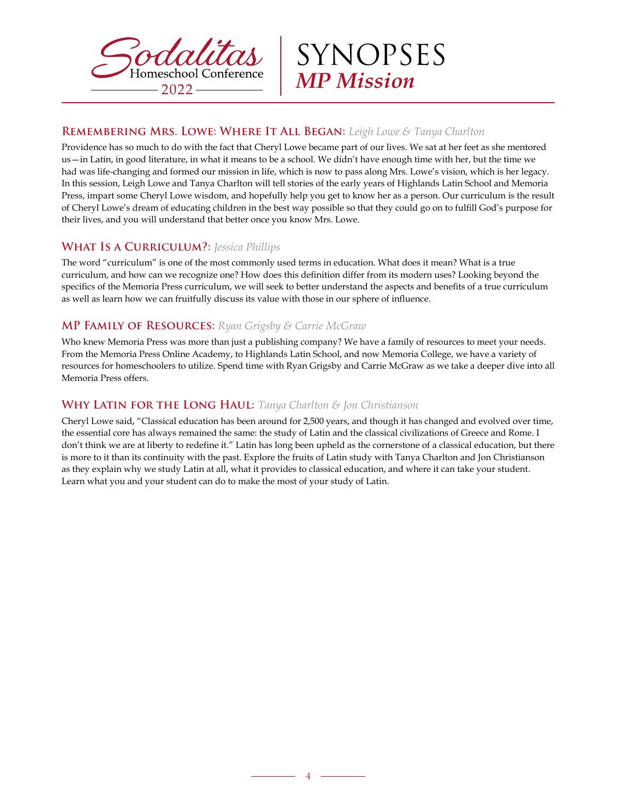

SYNOPSES *MP Mission*

# **Remembering Mrs. Lowe: Where It All Began:** *Leigh Lowe & Tanya Charlton*

Providence has so much to do with the fact that Cheryl Lowe became part of our lives. We sat at her feet as she mentored us—in Latin, in good literature, in what it means to be a school. We didn't have enough time with her, but the time we had was life-changing and formed our mission in life, which is now to pass along Mrs. Lowe's vision, which is her legacy. In this session, Leigh Lowe and Tanya Charlton will tell stories of the early years of Highlands Latin School and Memoria Press, impart some Cheryl Lowe wisdom, and hopefully help you get to know her as a person. Our curriculum is the result of Cheryl Lowe's dream of educating children in the best way possible so that they could go on to fulfill God's purpose for their lives, and you will understand that better once you know Mrs. Lowe.

# **What Is a Curriculum?:** *Jessica Phillips*

The word "curriculum" is one of the most commonly used terms in education. What does it mean? What is a true curriculum, and how can we recognize one? How does this definition differ from its modern uses? Looking beyond the specifics of the Memoria Press curriculum, we will seek to better understand the aspects and benefits of a true curriculum as well as learn how we can fruitfully discuss its value with those in our sphere of influence.

# **MP Family of Resources:** *Ryan Grigsby & Carrie McGraw*

Who knew Memoria Press was more than just a publishing company? We have a family of resources to meet your needs. From the Memoria Press Online Academy, to Highlands Latin School, and now Memoria College, we have a variety of resources for homeschoolers to utilize. Spend time with Ryan Grigsby and Carrie McGraw as we take a deeper dive into all Memoria Press offers.

# **Why Latin for the Long Haul:** *Tanya Charlton & Jon Christianson*

Cheryl Lowe said, "Classical education has been around for 2,500 years, and though it has changed and evolved over time, the essential core has always remained the same: the study of Latin and the classical civilizations of Greece and Rome. I don't think we are at liberty to redefine it." Latin has long been upheld as the cornerstone of a classical education, but there is more to it than its continuity with the past. Explore the fruits of Latin study with Tanya Charlton and Jon Christianson as they explain why we study Latin at all, what it provides to classical education, and where it can take your student. Learn what you and your student can do to make the most of your study of Latin.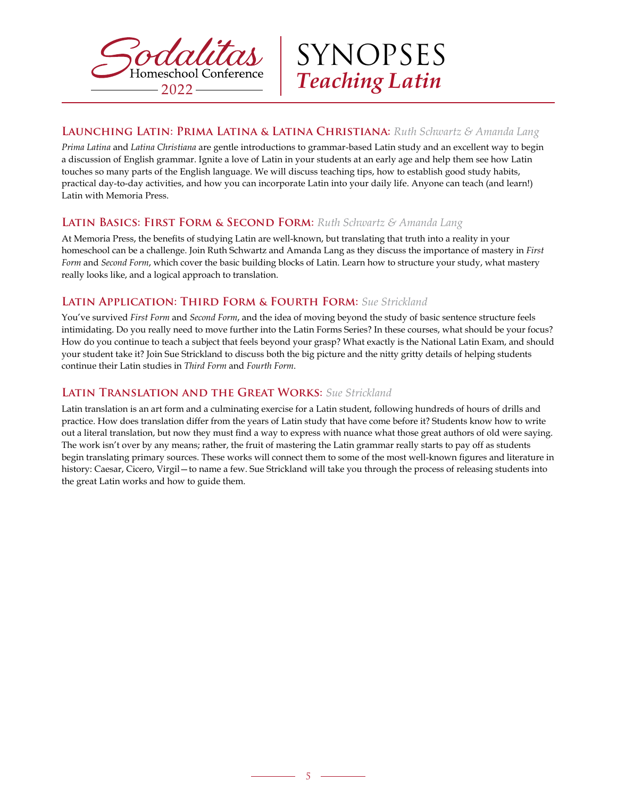



# **Launching Latin: Prima Latina & Latina Christiana:** *Ruth Schwartz & Amanda Lang*

*Prima Latina* and *Latina Christiana* are gentle introductions to grammar-based Latin study and an excellent way to begin a discussion of English grammar. Ignite a love of Latin in your students at an early age and help them see how Latin touches so many parts of the English language. We will discuss teaching tips, how to establish good study habits, practical day-to-day activities, and how you can incorporate Latin into your daily life. Anyone can teach (and learn!) Latin with Memoria Press.

#### **Latin Basics: First Form & Second Form:** *Ruth Schwartz & Amanda Lang*

At Memoria Press, the benefits of studying Latin are well-known, but translating that truth into a reality in your homeschool can be a challenge. Join Ruth Schwartz and Amanda Lang as they discuss the importance of mastery in *First Form* and *Second Form*, which cover the basic building blocks of Latin. Learn how to structure your study, what mastery really looks like, and a logical approach to translation.

# **Latin Application: Third Form & Fourth Form:** *Sue Strickland*

You've survived *First Form* and *Second Form*, and the idea of moving beyond the study of basic sentence structure feels intimidating. Do you really need to move further into the Latin Forms Series? In these courses, what should be your focus? How do you continue to teach a subject that feels beyond your grasp? What exactly is the National Latin Exam, and should your student take it? Join Sue Strickland to discuss both the big picture and the nitty gritty details of helping students continue their Latin studies in *Third Form* and *Fourth Form*.

#### **Latin Translation and the Great Works:** *Sue Strickland*

Latin translation is an art form and a culminating exercise for a Latin student, following hundreds of hours of drills and practice. How does translation differ from the years of Latin study that have come before it? Students know how to write out a literal translation, but now they must find a way to express with nuance what those great authors of old were saying. The work isn't over by any means; rather, the fruit of mastering the Latin grammar really starts to pay off as students begin translating primary sources. These works will connect them to some of the most well-known figures and literature in history: Caesar, Cicero, Virgil—to name a few. Sue Strickland will take you through the process of releasing students into the great Latin works and how to guide them.